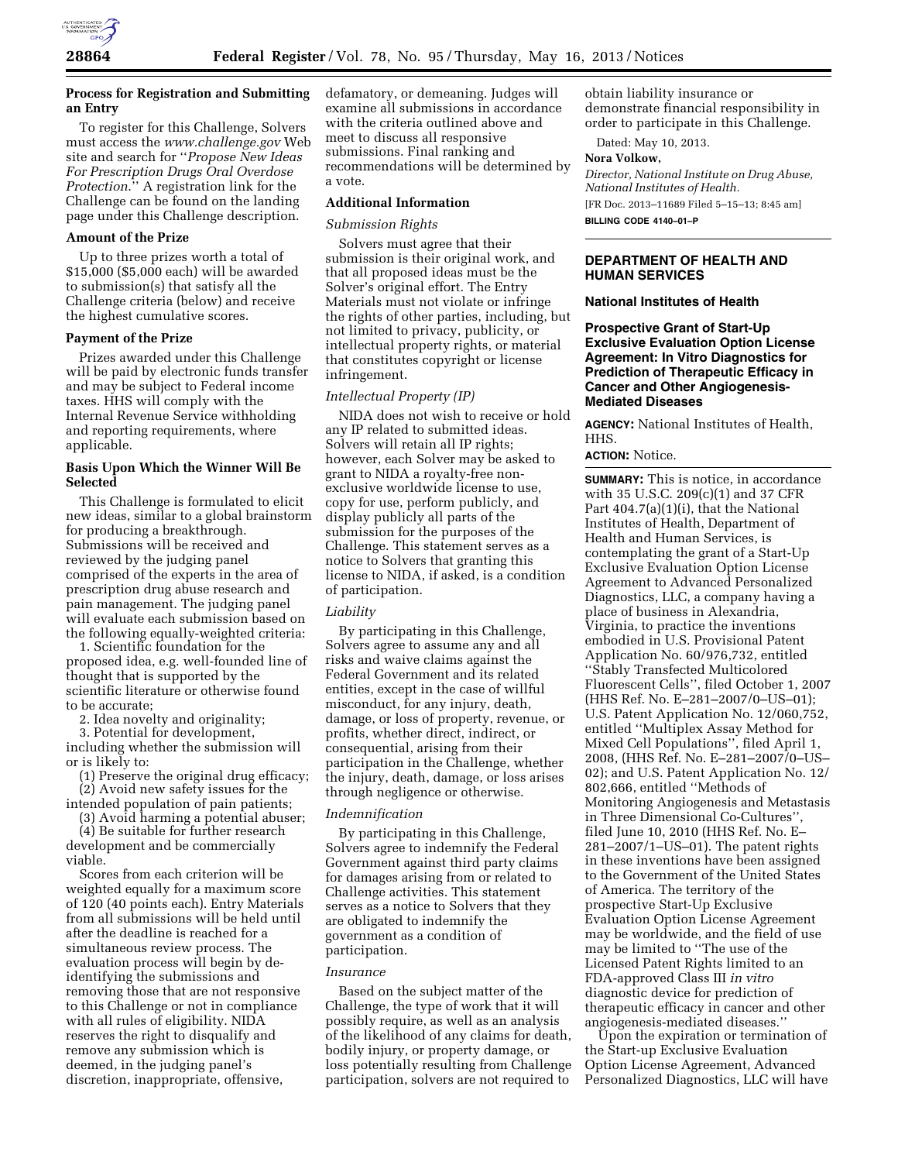

# **Process for Registration and Submitting an Entry**

To register for this Challenge, Solvers must access the *[www.challenge.gov](http://www.challenge.gov)* Web site and search for ''*Propose New Ideas For Prescription Drugs Oral Overdose Protection*.'' A registration link for the Challenge can be found on the landing page under this Challenge description.

#### **Amount of the Prize**

Up to three prizes worth a total of \$15,000 (\$5,000 each) will be awarded to submission(s) that satisfy all the Challenge criteria (below) and receive the highest cumulative scores.

### **Payment of the Prize**

Prizes awarded under this Challenge will be paid by electronic funds transfer and may be subject to Federal income taxes. HHS will comply with the Internal Revenue Service withholding and reporting requirements, where applicable.

## **Basis Upon Which the Winner Will Be Selected**

This Challenge is formulated to elicit new ideas, similar to a global brainstorm for producing a breakthrough. Submissions will be received and reviewed by the judging panel comprised of the experts in the area of prescription drug abuse research and pain management. The judging panel will evaluate each submission based on the following equally-weighted criteria:

1. Scientific foundation for the proposed idea, e.g. well-founded line of thought that is supported by the scientific literature or otherwise found to be accurate;

2. Idea novelty and originality;

3. Potential for development, including whether the submission will or is likely to:

(1) Preserve the original drug efficacy;

(2) Avoid new safety issues for the

intended population of pain patients; (3) Avoid harming a potential abuser;

(4) Be suitable for further research development and be commercially viable.

Scores from each criterion will be weighted equally for a maximum score of 120 (40 points each). Entry Materials from all submissions will be held until after the deadline is reached for a simultaneous review process. The evaluation process will begin by deidentifying the submissions and removing those that are not responsive to this Challenge or not in compliance with all rules of eligibility. NIDA reserves the right to disqualify and remove any submission which is deemed, in the judging panel's discretion, inappropriate, offensive,

defamatory, or demeaning. Judges will examine all submissions in accordance with the criteria outlined above and meet to discuss all responsive submissions. Final ranking and recommendations will be determined by a vote.

# **Additional Information**

### *Submission Rights*

Solvers must agree that their submission is their original work, and that all proposed ideas must be the Solver's original effort. The Entry Materials must not violate or infringe the rights of other parties, including, but not limited to privacy, publicity, or intellectual property rights, or material that constitutes copyright or license infringement.

### *Intellectual Property (IP)*

NIDA does not wish to receive or hold any IP related to submitted ideas. Solvers will retain all IP rights; however, each Solver may be asked to grant to NIDA a royalty-free nonexclusive worldwide license to use, copy for use, perform publicly, and display publicly all parts of the submission for the purposes of the Challenge. This statement serves as a notice to Solvers that granting this license to NIDA, if asked, is a condition of participation.

### *Liability*

By participating in this Challenge, Solvers agree to assume any and all risks and waive claims against the Federal Government and its related entities, except in the case of willful misconduct, for any injury, death, damage, or loss of property, revenue, or profits, whether direct, indirect, or consequential, arising from their participation in the Challenge, whether the injury, death, damage, or loss arises through negligence or otherwise.

# *Indemnification*

By participating in this Challenge, Solvers agree to indemnify the Federal Government against third party claims for damages arising from or related to Challenge activities. This statement serves as a notice to Solvers that they are obligated to indemnify the government as a condition of participation.

#### *Insurance*

Based on the subject matter of the Challenge, the type of work that it will possibly require, as well as an analysis of the likelihood of any claims for death, bodily injury, or property damage, or loss potentially resulting from Challenge participation, solvers are not required to

obtain liability insurance or demonstrate financial responsibility in order to participate in this Challenge.

Dated: May 10, 2013.

### **Nora Volkow,**

*Director, National Institute on Drug Abuse, National Institutes of Health.*  [FR Doc. 2013–11689 Filed 5–15–13; 8:45 am] **BILLING CODE 4140–01–P** 

# **DEPARTMENT OF HEALTH AND HUMAN SERVICES**

### **National Institutes of Health**

## **Prospective Grant of Start-Up Exclusive Evaluation Option License Agreement: In Vitro Diagnostics for Prediction of Therapeutic Efficacy in Cancer and Other Angiogenesis-Mediated Diseases**

**AGENCY:** National Institutes of Health, HHS.

#### **ACTION:** Notice.

**SUMMARY:** This is notice, in accordance with 35 U.S.C. 209(c)(1) and 37 CFR Part 404.7(a)(1)(i), that the National Institutes of Health, Department of Health and Human Services, is contemplating the grant of a Start-Up Exclusive Evaluation Option License Agreement to Advanced Personalized Diagnostics, LLC, a company having a place of business in Alexandria, Virginia, to practice the inventions embodied in U.S. Provisional Patent Application No. 60/976,732, entitled ''Stably Transfected Multicolored Fluorescent Cells'', filed October 1, 2007 (HHS Ref. No. E–281–2007/0–US–01); U.S. Patent Application No. 12/060,752, entitled ''Multiplex Assay Method for Mixed Cell Populations'', filed April 1, 2008, (HHS Ref. No. E–281–2007/0–US– 02); and U.S. Patent Application No. 12/ 802,666, entitled ''Methods of Monitoring Angiogenesis and Metastasis in Three Dimensional Co-Cultures'', filed June 10, 2010 (HHS Ref. No. E– 281–2007/1–US–01). The patent rights in these inventions have been assigned to the Government of the United States of America. The territory of the prospective Start-Up Exclusive Evaluation Option License Agreement may be worldwide, and the field of use may be limited to ''The use of the Licensed Patent Rights limited to an FDA-approved Class III *in vitro*  diagnostic device for prediction of therapeutic efficacy in cancer and other angiogenesis-mediated diseases.''

Upon the expiration or termination of the Start-up Exclusive Evaluation Option License Agreement, Advanced Personalized Diagnostics, LLC will have